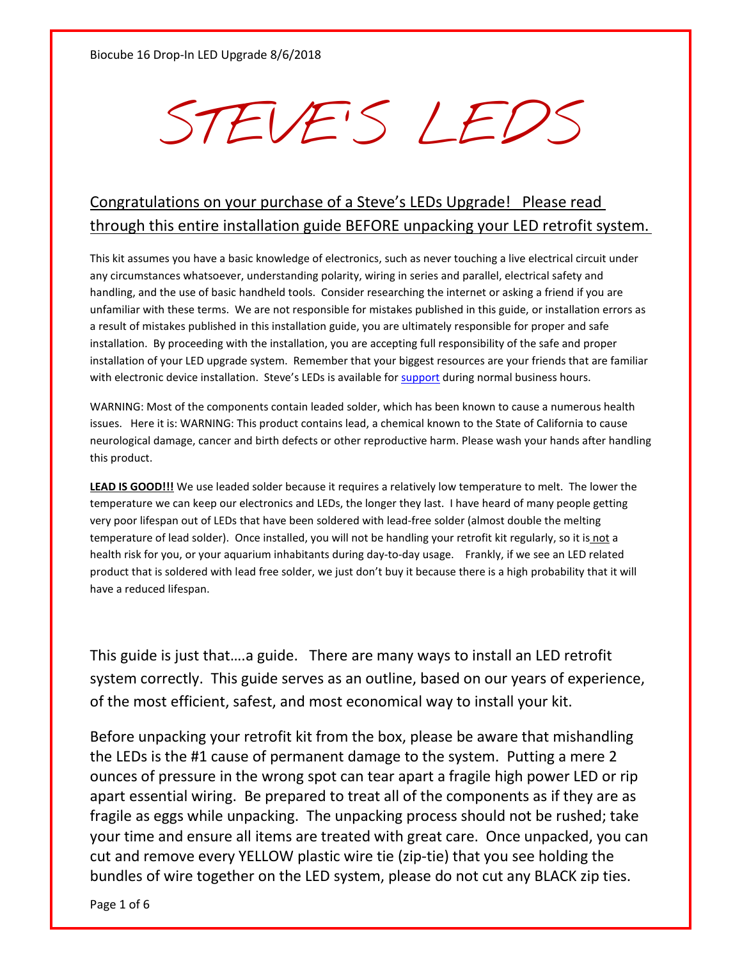## STEVE'S LEDS

## Congratulations on your purchase of a Steve's LEDs Upgrade! Please read through this entire installation guide BEFORE unpacking your LED retrofit system.

This kit assumes you have a basic knowledge of electronics, such as never touching a live electrical circuit under any circumstances whatsoever, understanding polarity, wiring in series and parallel, electrical safety and handling, and the use of basic handheld tools. Consider researching the internet or asking a friend if you are unfamiliar with these terms. We are not responsible for mistakes published in this guide, or installation errors as a result of mistakes published in this installation guide, you are ultimately responsible for proper and safe installation. By proceeding with the installation, you are accepting full responsibility of the safe and proper installation of your LED upgrade system. Remember that your biggest resources are your friends that are familiar with electronic device installation. Steve's LEDs is available for [support](https://www.stevesleds.com/Contact-Us_ep_5.html) during normal business hours.

WARNING: Most of the components contain leaded solder, which has been known to cause a numerous health issues. Here it is: WARNING: This product contains lead, a chemical known to the State of California to cause neurological damage, cancer and birth defects or other reproductive harm. Please wash your hands after handling this product.

**LEAD IS GOOD!!!** We use leaded solder because it requires a relatively low temperature to melt. The lower the temperature we can keep our electronics and LEDs, the longer they last. I have heard of many people getting very poor lifespan out of LEDs that have been soldered with lead-free solder (almost double the melting temperature of lead solder). Once installed, you will not be handling your retrofit kit regularly, so it is not a health risk for you, or your aquarium inhabitants during day-to-day usage. Frankly, if we see an LED related product that is soldered with lead free solder, we just don't buy it because there is a high probability that it will have a reduced lifespan.

This guide is just that….a guide. There are many ways to install an LED retrofit system correctly. This guide serves as an outline, based on our years of experience, of the most efficient, safest, and most economical way to install your kit.

Before unpacking your retrofit kit from the box, please be aware that mishandling the LEDs is the #1 cause of permanent damage to the system. Putting a mere 2 ounces of pressure in the wrong spot can tear apart a fragile high power LED or rip apart essential wiring. Be prepared to treat all of the components as if they are as fragile as eggs while unpacking. The unpacking process should not be rushed; take your time and ensure all items are treated with great care. Once unpacked, you can cut and remove every YELLOW plastic wire tie (zip-tie) that you see holding the bundles of wire together on the LED system, please do not cut any BLACK zip ties.

Page 1 of 6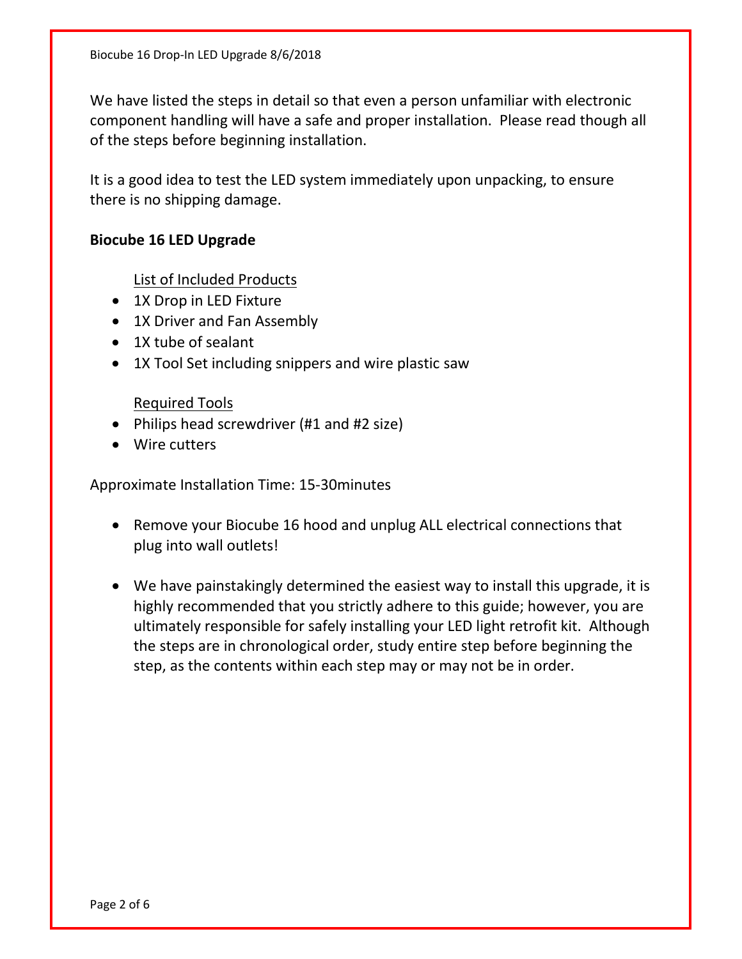We have listed the steps in detail so that even a person unfamiliar with electronic component handling will have a safe and proper installation. Please read though all of the steps before beginning installation.

It is a good idea to test the LED system immediately upon unpacking, to ensure there is no shipping damage.

## **Biocube 16 LED Upgrade**

List of Included Products

- 1X Drop in LED Fixture
- 1X Driver and Fan Assembly
- 1X tube of sealant
- 1X Tool Set including snippers and wire plastic saw

Required Tools

- Philips head screwdriver (#1 and #2 size)
- Wire cutters

Approximate Installation Time: 15-30minutes

- Remove your Biocube 16 hood and unplug ALL electrical connections that plug into wall outlets!
- We have painstakingly determined the easiest way to install this upgrade, it is highly recommended that you strictly adhere to this guide; however, you are ultimately responsible for safely installing your LED light retrofit kit. Although the steps are in chronological order, study entire step before beginning the step, as the contents within each step may or may not be in order.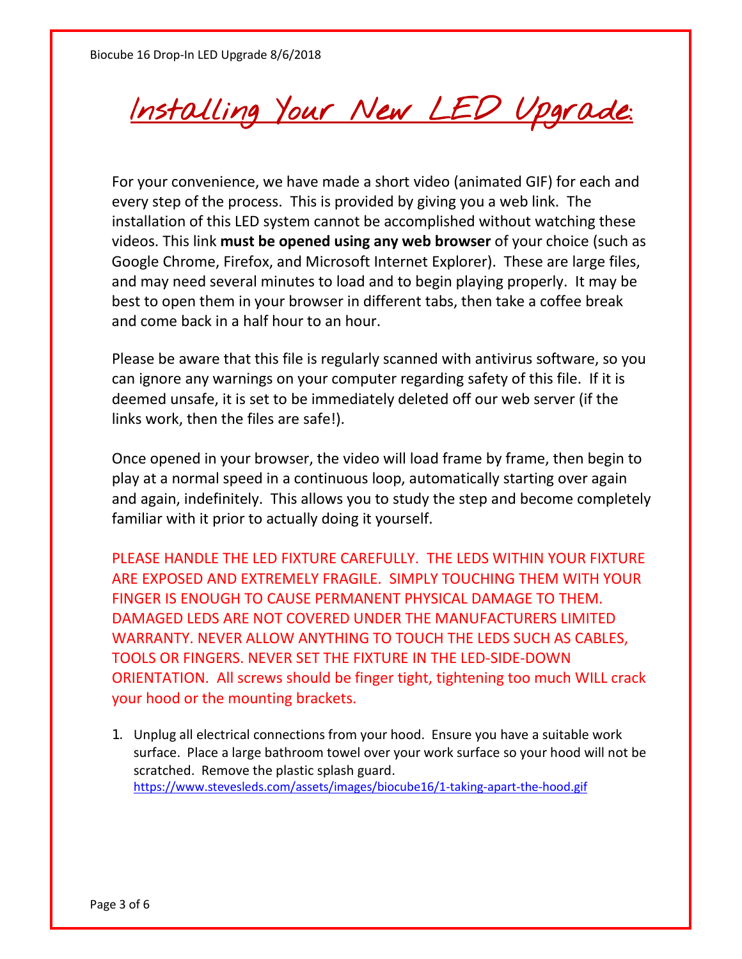Installing Your New LED Upgrade:

For your convenience, we have made a short video (animated GIF) for each and every step of the process. This is provided by giving you a web link. The installation of this LED system cannot be accomplished without watching these videos. This link **must be opened using any web browser** of your choice (such as Google Chrome, Firefox, and Microsoft Internet Explorer). These are large files, and may need several minutes to load and to begin playing properly. It may be best to open them in your browser in different tabs, then take a coffee break and come back in a half hour to an hour.

Please be aware that this file is regularly scanned with antivirus software, so you can ignore any warnings on your computer regarding safety of this file. If it is deemed unsafe, it is set to be immediately deleted off our web server (if the links work, then the files are safe!).

Once opened in your browser, the video will load frame by frame, then begin to play at a normal speed in a continuous loop, automatically starting over again and again, indefinitely. This allows you to study the step and become completely familiar with it prior to actually doing it yourself.

PLEASE HANDLE THE LED FIXTURE CAREFULLY. THE LEDS WITHIN YOUR FIXTURE ARE EXPOSED AND EXTREMELY FRAGILE. SIMPLY TOUCHING THEM WITH YOUR FINGER IS ENOUGH TO CAUSE PERMANENT PHYSICAL DAMAGE TO THEM. DAMAGED LEDS ARE NOT COVERED UNDER THE MANUFACTURERS LIMITED WARRANTY. NEVER ALLOW ANYTHING TO TOUCH THE LEDS SUCH AS CABLES, TOOLS OR FINGERS. NEVER SET THE FIXTURE IN THE LED-SIDE-DOWN ORIENTATION. All screws should be finger tight, tightening too much WILL crack your hood or the mounting brackets.

1. Unplug all electrical connections from your hood. Ensure you have a suitable work surface. Place a large bathroom towel over your work surface so your hood will not be scratched. Remove the plastic splash guard. <https://www.stevesleds.com/assets/images/biocube16/1-taking-apart-the-hood.gif>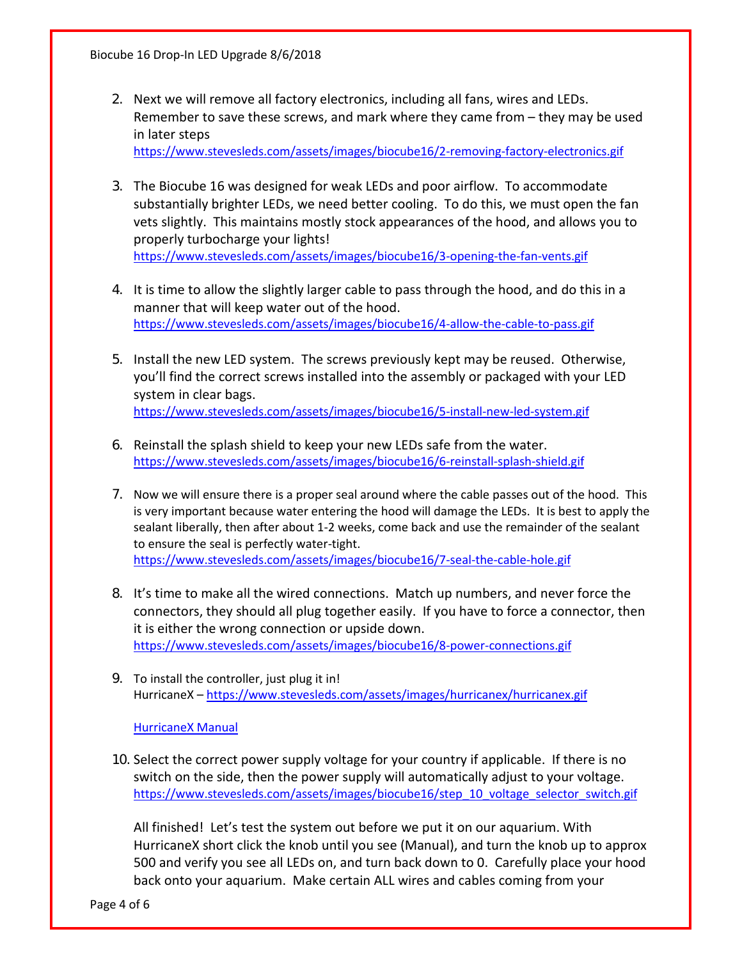- 2. Next we will remove all factory electronics, including all fans, wires and LEDs. Remember to save these screws, and mark where they came from – they may be used in later steps <https://www.stevesleds.com/assets/images/biocube16/2-removing-factory-electronics.gif>
- 3. The Biocube 16 was designed for weak LEDs and poor airflow. To accommodate substantially brighter LEDs, we need better cooling. To do this, we must open the fan vets slightly. This maintains mostly stock appearances of the hood, and allows you to properly turbocharge your lights! <https://www.stevesleds.com/assets/images/biocube16/3-opening-the-fan-vents.gif>
- 4. It is time to allow the slightly larger cable to pass through the hood, and do this in a manner that will keep water out of the hood. <https://www.stevesleds.com/assets/images/biocube16/4-allow-the-cable-to-pass.gif>
- 5. Install the new LED system. The screws previously kept may be reused. Otherwise, you'll find the correct screws installed into the assembly or packaged with your LED system in clear bags. <https://www.stevesleds.com/assets/images/biocube16/5-install-new-led-system.gif>
- 6. Reinstall the splash shield to keep your new LEDs safe from the water. <https://www.stevesleds.com/assets/images/biocube16/6-reinstall-splash-shield.gif>
- 7. Now we will ensure there is a proper seal around where the cable passes out of the hood. This is very important because water entering the hood will damage the LEDs. It is best to apply the sealant liberally, then after about 1-2 weeks, come back and use the remainder of the sealant to ensure the seal is perfectly water-tight. <https://www.stevesleds.com/assets/images/biocube16/7-seal-the-cable-hole.gif>
- 8. It's time to make all the wired connections. Match up numbers, and never force the connectors, they should all plug together easily. If you have to force a connector, then it is either the wrong connection or upside down. <https://www.stevesleds.com/assets/images/biocube16/8-power-connections.gif>
- 9. To install the controller, just plug it in! HurricaneX – <https://www.stevesleds.com/assets/images/hurricanex/hurricanex.gif>

[HurricaneX Manual](https://www.stevesleds.com/assets/images/hurricanex/hurricanex472017.pdf)

10. Select the correct power supply voltage for your country if applicable. If there is no switch on the side, then the power supply will automatically adjust to your voltage. [https://www.stevesleds.com/assets/images/biocube16/step\\_10\\_voltage\\_selector\\_switch.gif](https://www.stevesleds.com/assets/images/biocube16/step_10_voltage_selector_switch.gif)

All finished! Let's test the system out before we put it on our aquarium. With HurricaneX short click the knob until you see (Manual), and turn the knob up to approx 500 and verify you see all LEDs on, and turn back down to 0. Carefully place your hood back onto your aquarium. Make certain ALL wires and cables coming from your

Page 4 of 6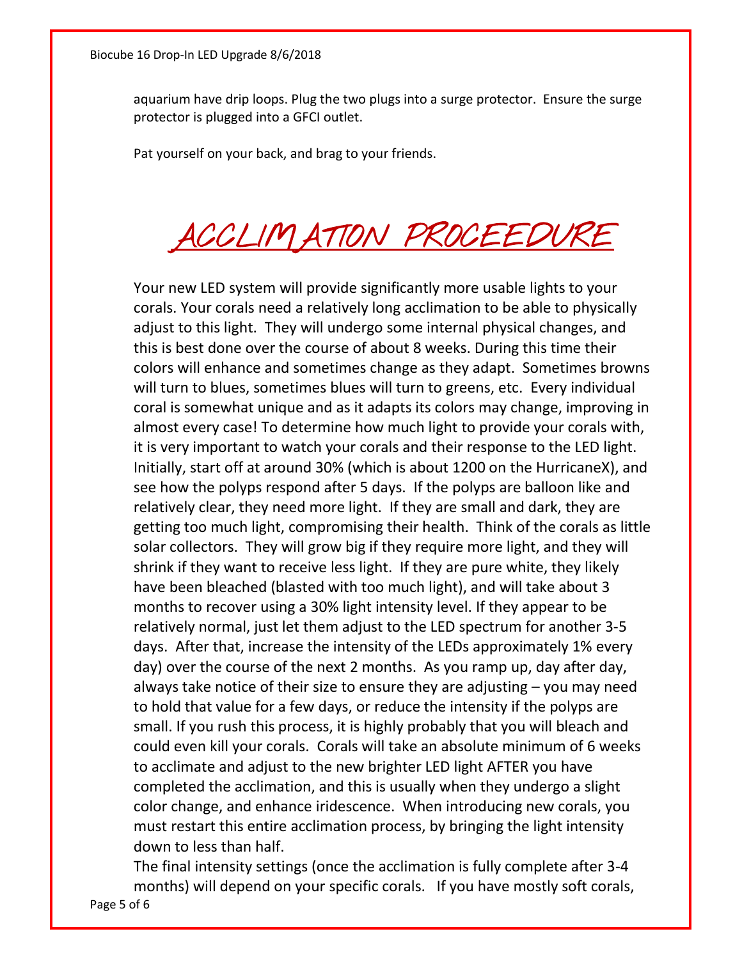aquarium have drip loops. Plug the two plugs into a surge protector. Ensure the surge protector is plugged into a GFCI outlet.

Pat yourself on your back, and brag to your friends.

## ACCLIMATION PROCEEDURE

Your new LED system will provide significantly more usable lights to your corals. Your corals need a relatively long acclimation to be able to physically adjust to this light. They will undergo some internal physical changes, and this is best done over the course of about 8 weeks. During this time their colors will enhance and sometimes change as they adapt. Sometimes browns will turn to blues, sometimes blues will turn to greens, etc. Every individual coral is somewhat unique and as it adapts its colors may change, improving in almost every case! To determine how much light to provide your corals with, it is very important to watch your corals and their response to the LED light. Initially, start off at around 30% (which is about 1200 on the HurricaneX), and see how the polyps respond after 5 days. If the polyps are balloon like and relatively clear, they need more light. If they are small and dark, they are getting too much light, compromising their health. Think of the corals as little solar collectors. They will grow big if they require more light, and they will shrink if they want to receive less light. If they are pure white, they likely have been bleached (blasted with too much light), and will take about 3 months to recover using a 30% light intensity level. If they appear to be relatively normal, just let them adjust to the LED spectrum for another 3-5 days. After that, increase the intensity of the LEDs approximately 1% every day) over the course of the next 2 months. As you ramp up, day after day, always take notice of their size to ensure they are adjusting – you may need to hold that value for a few days, or reduce the intensity if the polyps are small. If you rush this process, it is highly probably that you will bleach and could even kill your corals. Corals will take an absolute minimum of 6 weeks to acclimate and adjust to the new brighter LED light AFTER you have completed the acclimation, and this is usually when they undergo a slight color change, and enhance iridescence. When introducing new corals, you must restart this entire acclimation process, by bringing the light intensity down to less than half.

The final intensity settings (once the acclimation is fully complete after 3-4 months) will depend on your specific corals. If you have mostly soft corals,